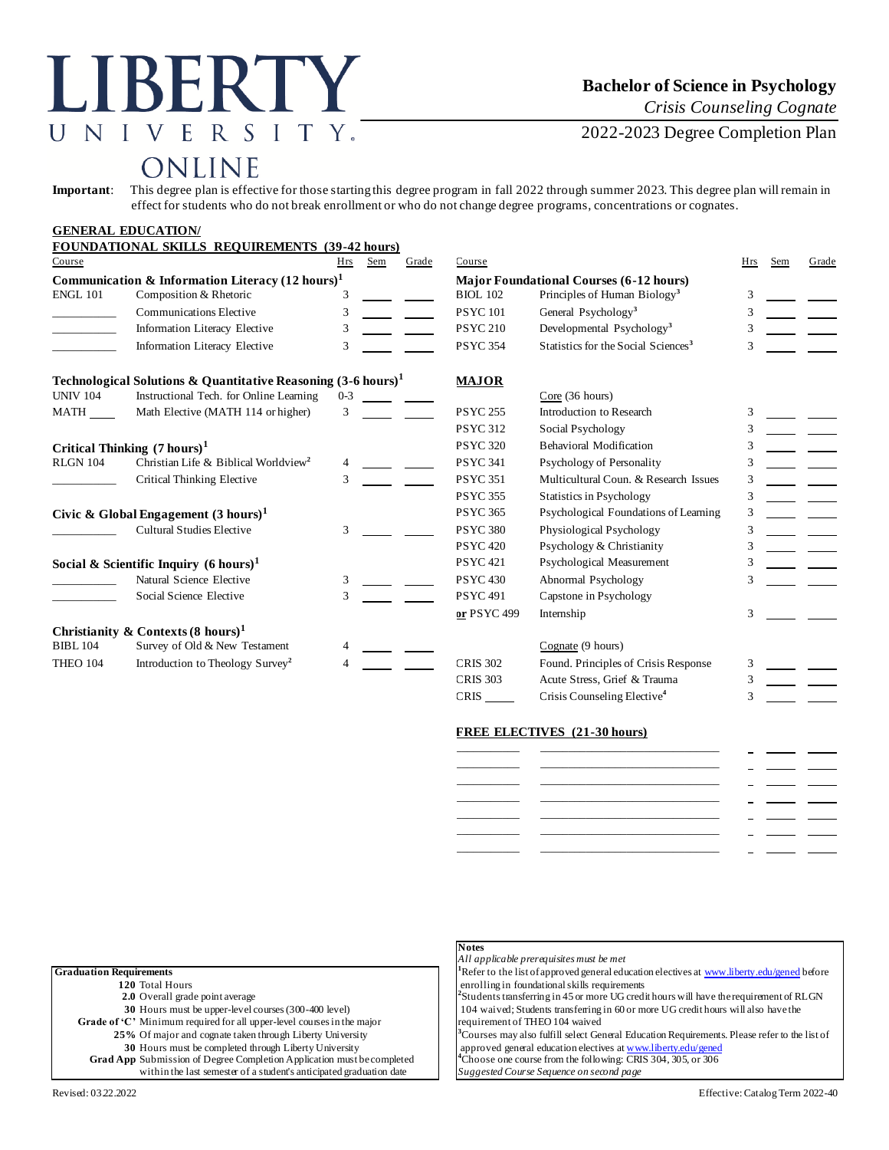# LIBERTY UNIVERSITY.

# **Bachelor of Science in Psychology**

*Crisis Counseling Cognate*

2022-2023 Degree Completion Plan

# ONLINE

**Important**: This degree plan is effective for those starting this degree program in fall 2022 through summer 2023. This degree plan will remain in effect for students who do not break enrollment or who do not change degree programs, concentrations or cognates.

|                                                             | <b>GENERAL EDUCATION/</b>                                                |         |     |                                                |                                |                                                 |     |     |       |
|-------------------------------------------------------------|--------------------------------------------------------------------------|---------|-----|------------------------------------------------|--------------------------------|-------------------------------------------------|-----|-----|-------|
|                                                             | <b>FOUNDATIONAL SKILLS REQUIREMENTS (39-42 hours)</b>                    |         |     |                                                |                                |                                                 |     |     |       |
| Course                                                      |                                                                          | Hrs     | Sem | Grade                                          | Course                         |                                                 | Hrs | Sem | Grade |
| Communication & Information Literacy $(12 \text{ hours})^1$ |                                                                          |         |     | <b>Major Foundational Courses (6-12 hours)</b> |                                |                                                 |     |     |       |
| <b>ENGL 101</b>                                             | Composition & Rhetoric                                                   | 3       |     |                                                | <b>BIOL 102</b>                | Principles of Human Biology <sup>3</sup>        | 3   |     |       |
|                                                             | Communications Elective                                                  | 3       |     |                                                | <b>PSYC101</b>                 | General Psychology <sup>3</sup>                 | 3   |     |       |
|                                                             | Information Literacy Elective                                            | 3       |     |                                                | <b>PSYC 210</b>                | Developmental Psychology <sup>3</sup>           |     |     |       |
|                                                             | Information Literacy Elective                                            | 3       |     |                                                | <b>PSYC 354</b>                | Statistics for the Social Sciences <sup>3</sup> |     |     |       |
|                                                             | Technological Solutions & Quantitative Reasoning $(3-6 \text{ hours})^1$ |         |     |                                                | <b>MAJOR</b>                   |                                                 |     |     |       |
| <b>UNIV 104</b>                                             | Instructional Tech. for Online Learning                                  | $0 - 3$ |     |                                                |                                | Core(36 hours)                                  |     |     |       |
| <b>MATH</b>                                                 | Math Elective (MATH 114 or higher)                                       | 3       |     |                                                | <b>PSYC 255</b>                | Introduction to Research                        |     |     |       |
|                                                             |                                                                          |         |     |                                                | <b>PSYC 312</b>                | Social Psychology                               | 3   |     |       |
| Critical Thinking $(7 \text{ hours})^1$                     |                                                                          |         |     | <b>PSYC 320</b>                                | <b>Behavioral Modification</b> | 3                                               |     |     |       |
| <b>RLGN 104</b>                                             | Christian Life & Biblical Worldview <sup>2</sup>                         |         |     |                                                | <b>PSYC 341</b>                | Psychology of Personality                       | 3   |     |       |
|                                                             | Critical Thinking Elective                                               | 3       |     |                                                | <b>PSYC 351</b>                | Multicultural Coun. & Research Issues           | 3   |     |       |
|                                                             |                                                                          |         |     |                                                | <b>PSYC 355</b>                | <b>Statistics in Psychology</b>                 | 3   |     |       |
|                                                             | Civic & Global Engagement $(3 \text{ hours})^1$                          |         |     |                                                | <b>PSYC 365</b>                | Psychological Foundations of Learning           | 3   |     |       |
|                                                             | <b>Cultural Studies Elective</b>                                         | 3       |     |                                                | <b>PSYC 380</b>                | Physiological Psychology                        | 3   |     |       |
|                                                             |                                                                          |         |     |                                                | <b>PSYC 420</b>                | Psychology & Christianity                       | 3   |     |       |
| Social & Scientific Inquiry $(6 \text{ hours})^1$           |                                                                          |         |     |                                                | <b>PSYC 421</b>                | Psychological Measurement                       | 3   |     |       |
|                                                             | Natural Science Elective                                                 | 3       |     |                                                | <b>PSYC 430</b>                | Abnormal Psychology                             |     |     |       |
|                                                             | Social Science Elective                                                  | 3       |     |                                                | <b>PSYC 491</b>                | Capstone in Psychology                          |     |     |       |
|                                                             |                                                                          |         |     |                                                | or PSYC 499                    | Internship                                      | 3   |     |       |
|                                                             | Christianity & Contexts (8 hours) <sup>1</sup>                           |         |     |                                                |                                |                                                 |     |     |       |
| <b>BIBL 104</b>                                             | Survey of Old & New Testament                                            |         |     |                                                |                                | Cognate (9 hours)                               |     |     |       |
| THEO 104                                                    | Introduction to Theology Survey <sup>2</sup>                             |         |     |                                                | <b>CRIS 302</b>                | Found. Principles of Crisis Response            | 3   |     |       |
|                                                             |                                                                          |         |     |                                                | <b>CRIS 303</b>                | Acute Stress, Grief & Trauma                    | 3   |     |       |
|                                                             |                                                                          |         |     |                                                | <b>CRIS</b>                    | Crisis Counseling Elective <sup>4</sup>         |     |     |       |

#### **FREE ELECTIVES (21-30 hours)**

|               | _______________ |  |
|---------------|-----------------|--|
|               |                 |  |
| ____________  |                 |  |
|               |                 |  |
| _____________ |                 |  |
|               |                 |  |
|               |                 |  |

| <b>Graduation Requirements</b>                                                |
|-------------------------------------------------------------------------------|
| 120 Total Hours                                                               |
| 2.0 Overall grade point average                                               |
| 30 Hours must be upper-level courses (300-400 level)                          |
| Grade of 'C' Minimum required for all upper-level courses in the major        |
| 25% Of major and cognate taken through Liberty University                     |
| 30 Hours must be completed through Liberty University                         |
| <b>Grad App</b> Submission of Degree Completion Application must be completed |
| within the last semester of a student's anticipated graduation date           |

# **Notes**

*All applicable prerequisites must be met*

efer to the list of approved general education electives [at www.liberty.edu/gened](http://www.liberty.edu/gened) before rolling in foundational skills requirements

udents transferring in 45 or more UG credit hours will have the requirement of RLGN **30** Medicial countries (300-400) in students transferring in 60 or more UG credit hours will also have the **quirement of THEO 104 waived** 

burses may also fulfill select General Education Requirements. Please refer to the list of proved general education electives [at www.liberty.edu/gened](http://www.liberty.edu/gened) hoose one course from the following: CRIS 304, 305, or 306

g gested Course Sequence on second page